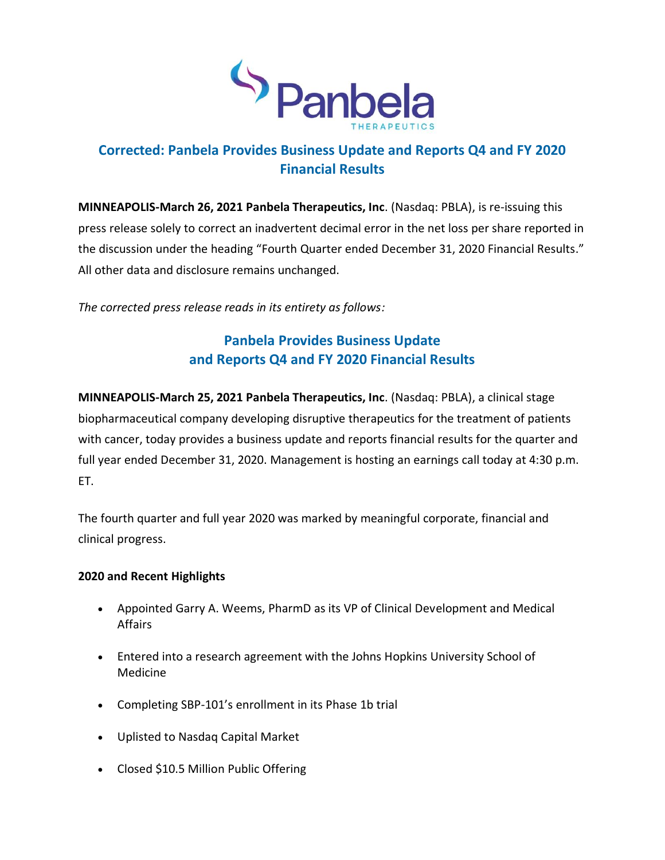

## **Corrected: Panbela Provides Business Update and Reports Q4 and FY 2020 Financial Results**

**MINNEAPOLIS-March 26, 2021 Panbela Therapeutics, Inc**. (Nasdaq: PBLA), is re-issuing this press release solely to correct an inadvertent decimal error in the net loss per share reported in the discussion under the heading "Fourth Quarter ended December 31, 2020 Financial Results." All other data and disclosure remains unchanged.

*The corrected press release reads in its entirety as follows:*

# **Panbela Provides Business Update and Reports Q4 and FY 2020 Financial Results**

**MINNEAPOLIS-March 25, 2021 Panbela Therapeutics, Inc**. (Nasdaq: PBLA), a clinical stage biopharmaceutical company developing disruptive therapeutics for the treatment of patients with cancer, today provides a business update and reports financial results for the quarter and full year ended December 31, 2020. Management is hosting an earnings call today at 4:30 p.m. ET.

The fourth quarter and full year 2020 was marked by meaningful corporate, financial and clinical progress.

### **2020 and Recent Highlights**

- Appointed Garry A. Weems, PharmD as its VP of Clinical Development and Medical Affairs
- Entered into a research agreement with the Johns Hopkins University School of Medicine
- Completing SBP-101's enrollment in its Phase 1b trial
- Uplisted to Nasdaq Capital Market
- Closed \$10.5 Million Public Offering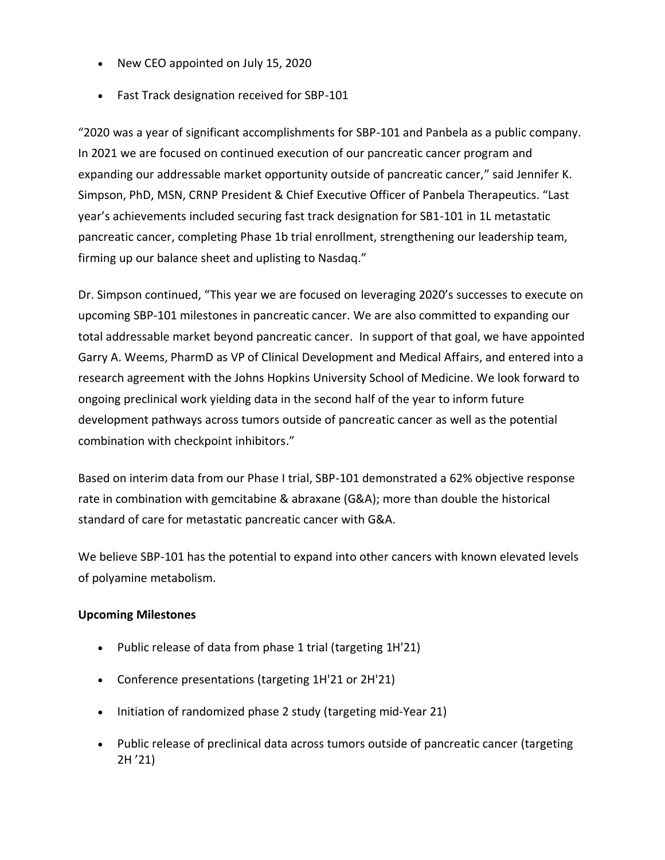- New CEO appointed on July 15, 2020
- Fast Track designation received for SBP-101

"2020 was a year of significant accomplishments for SBP-101 and Panbela as a public company. In 2021 we are focused on continued execution of our pancreatic cancer program and expanding our addressable market opportunity outside of pancreatic cancer," said Jennifer K. Simpson, PhD, MSN, CRNP President & Chief Executive Officer of Panbela Therapeutics. "Last year's achievements included securing fast track designation for SB1-101 in 1L metastatic pancreatic cancer, completing Phase 1b trial enrollment, strengthening our leadership team, firming up our balance sheet and uplisting to Nasdaq."

Dr. Simpson continued, "This year we are focused on leveraging 2020's successes to execute on upcoming SBP-101 milestones in pancreatic cancer. We are also committed to expanding our total addressable market beyond pancreatic cancer. In support of that goal, we have appointed Garry A. Weems, PharmD as VP of Clinical Development and Medical Affairs, and entered into a research agreement with the Johns Hopkins University School of Medicine. We look forward to ongoing preclinical work yielding data in the second half of the year to inform future development pathways across tumors outside of pancreatic cancer as well as the potential combination with checkpoint inhibitors."

Based on interim data from our Phase I trial, SBP-101 demonstrated a 62% objective response rate in combination with gemcitabine & abraxane (G&A); more than double the historical standard of care for metastatic pancreatic cancer with G&A.

We believe SBP-101 has the potential to expand into other cancers with known elevated levels of polyamine metabolism.

#### **Upcoming Milestones**

- Public release of data from phase 1 trial (targeting 1H'21)
- Conference presentations (targeting 1H'21 or 2H'21)
- Initiation of randomized phase 2 study (targeting mid-Year 21)
- Public release of preclinical data across tumors outside of pancreatic cancer (targeting 2H '21)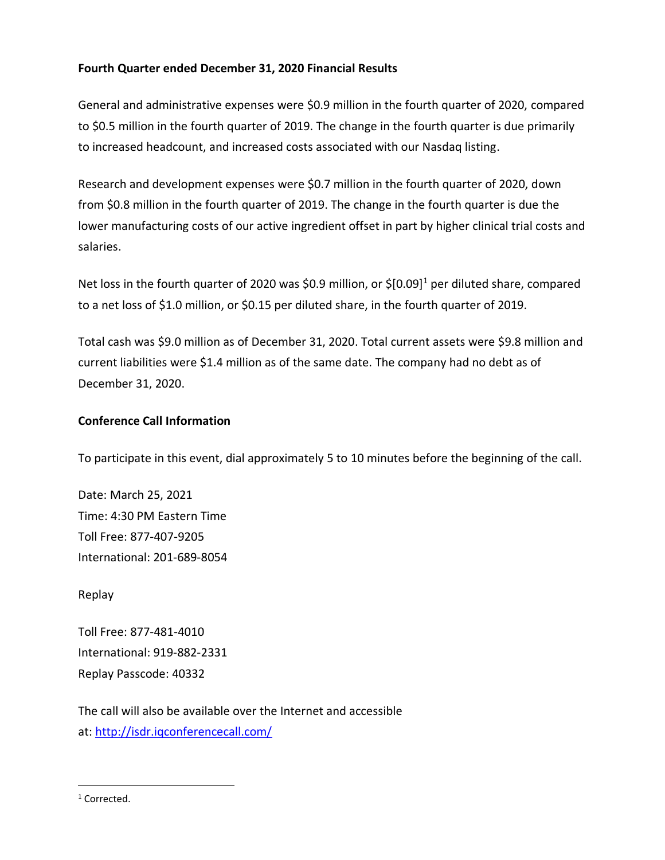### **Fourth Quarter ended December 31, 2020 Financial Results**

General and administrative expenses were \$0.9 million in the fourth quarter of 2020, compared to \$0.5 million in the fourth quarter of 2019. The change in the fourth quarter is due primarily to increased headcount, and increased costs associated with our Nasdaq listing.

Research and development expenses were \$0.7 million in the fourth quarter of 2020, down from \$0.8 million in the fourth quarter of 2019. The change in the fourth quarter is due the lower manufacturing costs of our active ingredient offset in part by higher clinical trial costs and salaries.

Net loss in the fourth quarter of 2020 was \$0.9 million, or \$[0.09]<sup>1</sup> per diluted share, compared to a net loss of \$1.0 million, or \$0.15 per diluted share, in the fourth quarter of 2019.

Total cash was \$9.0 million as of December 31, 2020. Total current assets were \$9.8 million and current liabilities were \$1.4 million as of the same date. The company had no debt as of December 31, 2020.

#### **Conference Call Information**

To participate in this event, dial approximately 5 to 10 minutes before the beginning of the call.

Date: March 25, 2021 Time: 4:30 PM Eastern Time Toll Free: 877-407-9205 International: 201-689-8054

Replay

Toll Free: 877-481-4010 International: 919-882-2331 Replay Passcode: 40332

The call will also be available over the Internet and accessible at: <http://isdr.iqconferencecall.com/>

<sup>&</sup>lt;sup>1</sup> Corrected.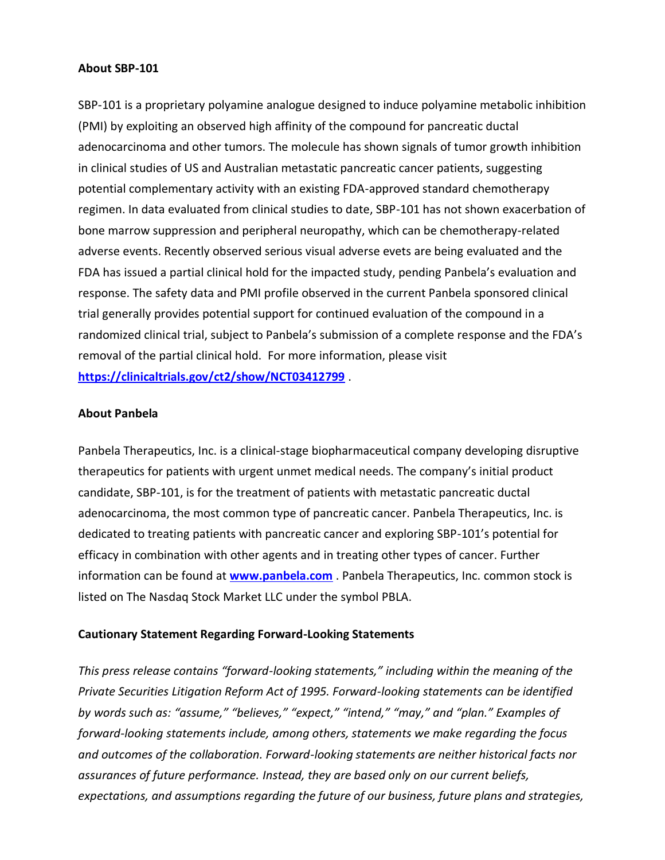#### **About SBP-101**

SBP-101 is a proprietary polyamine analogue designed to induce polyamine metabolic inhibition (PMI) by exploiting an observed high affinity of the compound for pancreatic ductal adenocarcinoma and other tumors. The molecule has shown signals of tumor growth inhibition in clinical studies of US and Australian metastatic pancreatic cancer patients, suggesting potential complementary activity with an existing FDA-approved standard chemotherapy regimen. In data evaluated from clinical studies to date, SBP-101 has not shown exacerbation of bone marrow suppression and peripheral neuropathy, which can be chemotherapy-related adverse events. Recently observed serious visual adverse evets are being evaluated and the FDA has issued a partial clinical hold for the impacted study, pending Panbela's evaluation and response. The safety data and PMI profile observed in the current Panbela sponsored clinical trial generally provides potential support for continued evaluation of the compound in a randomized clinical trial, subject to Panbela's submission of a complete response and the FDA's removal of the partial clinical hold. For more information, please visit **[https://clinicaltrials.gov/ct2/show/NCT03412799](https://www.globenewswire.com/Tracker?data=ggb69aNk_B4yqxRSrDMv-kB4Zx696Lu8xowsdRGjJhc30xjgW2Uo4leKtkmTg-Av2dUjryFPMJ4T8xKVnmLO5-s8aF6GGNnYmH0suCTx2JoQ6oIyzOB2b-KC6Za0lK9pCgK-syLIrNvwobdHSS1cIaky_LrOrHrJsbWtVt3JZZ-WNZus7zg4IZmDIT4y8P_VXMhGwKjcqSfpT9k1nOPpuzErPY9GcmYWwySvQ0ybqKZbs-zBqQ4ddSy-i7dlqP4q3wJbDjtJtIfnNsn3i482etEnXo8DA85LzuHCKJKqooH-TwHmCLPnzbLadGe280BVdFXoRITwxWAtQ1sjiiJYEtI_0yYe_KpCc6E4o7GqywsLayJtQ5KLXnoLilXPRzc9)** .

#### **About Panbela**

Panbela Therapeutics, Inc. is a clinical-stage biopharmaceutical company developing disruptive therapeutics for patients with urgent unmet medical needs. The company's initial product candidate, SBP-101, is for the treatment of patients with metastatic pancreatic ductal adenocarcinoma, the most common type of pancreatic cancer. Panbela Therapeutics, Inc. is dedicated to treating patients with pancreatic cancer and exploring SBP-101's potential for efficacy in combination with other agents and in treating other types of cancer. Further information can be found at **[www.panbela.com](https://www.globenewswire.com/Tracker?data=oSR5rT5c3l_SxCqru7g9bQmtt-b4QkzkdNahD2yXbut7enKkyr0tq9yGL1k4tmuR58i5vrFQmZ4jS14VFdSfiirtRp1_PUY9ExBAMVyDU7_zKO0lybuGsoFwBFVrdwpRG4FHEz1lrnjdKJ080J92unpfQO7IROrVE85i-UD8agi7uiKpxtjQwBSbNopxqfW1AHgUmhx6l9qej40KSR5LOg6F9wuABDiFBilIu6l0-Bw=)** . Panbela Therapeutics, Inc. common stock is listed on The Nasdaq Stock Market LLC under the symbol PBLA.

#### **Cautionary Statement Regarding Forward-Looking Statements**

*This press release contains "forward-looking statements," including within the meaning of the Private Securities Litigation Reform Act of 1995. Forward-looking statements can be identified by words such as: "assume," "believes," "expect," "intend," "may," and "plan." Examples of forward-looking statements include, among others, statements we make regarding the focus and outcomes of the collaboration. Forward-looking statements are neither historical facts nor assurances of future performance. Instead, they are based only on our current beliefs, expectations, and assumptions regarding the future of our business, future plans and strategies,*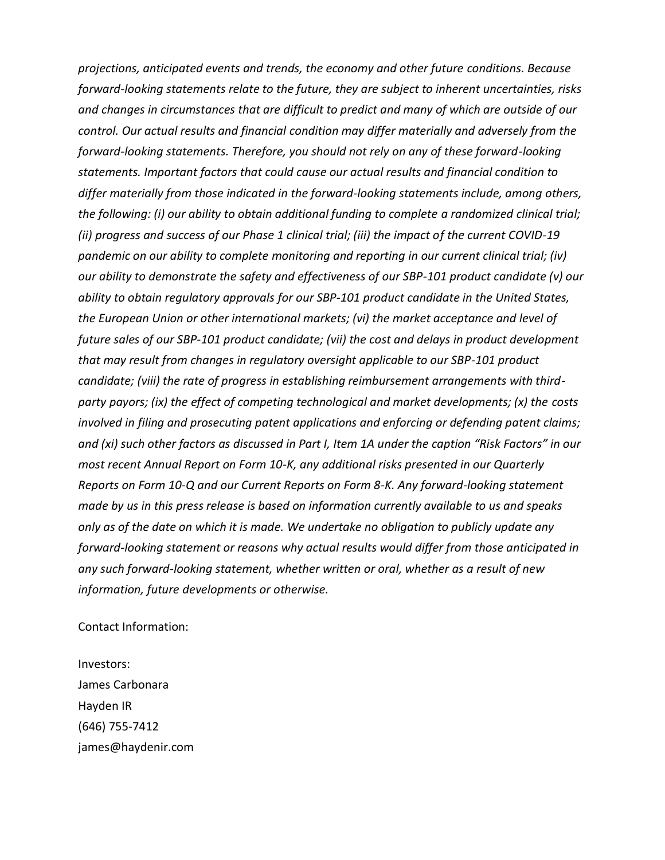*projections, anticipated events and trends, the economy and other future conditions. Because forward-looking statements relate to the future, they are subject to inherent uncertainties, risks and changes in circumstances that are difficult to predict and many of which are outside of our control. Our actual results and financial condition may differ materially and adversely from the forward-looking statements. Therefore, you should not rely on any of these forward-looking statements. Important factors that could cause our actual results and financial condition to differ materially from those indicated in the forward-looking statements include, among others, the following: (i) our ability to obtain additional funding to complete a randomized clinical trial; (ii) progress and success of our Phase 1 clinical trial; (iii) the impact of the current COVID-19 pandemic on our ability to complete monitoring and reporting in our current clinical trial; (iv) our ability to demonstrate the safety and effectiveness of our SBP-101 product candidate (v) our ability to obtain regulatory approvals for our SBP-101 product candidate in the United States, the European Union or other international markets; (vi) the market acceptance and level of future sales of our SBP-101 product candidate; (vii) the cost and delays in product development that may result from changes in regulatory oversight applicable to our SBP-101 product candidate; (viii) the rate of progress in establishing reimbursement arrangements with thirdparty payors; (ix) the effect of competing technological and market developments; (x) the costs involved in filing and prosecuting patent applications and enforcing or defending patent claims; and (xi) such other factors as discussed in Part I, Item 1A under the caption "Risk Factors" in our most recent Annual Report on Form 10-K, any additional risks presented in our Quarterly Reports on Form 10-Q and our Current Reports on Form 8-K. Any forward-looking statement made by us in this press release is based on information currently available to us and speaks only as of the date on which it is made. We undertake no obligation to publicly update any forward-looking statement or reasons why actual results would differ from those anticipated in any such forward-looking statement, whether written or oral, whether as a result of new information, future developments or otherwise.*

#### Contact Information:

Investors: James Carbonara Hayden IR (646) 755-7412 james@haydenir.com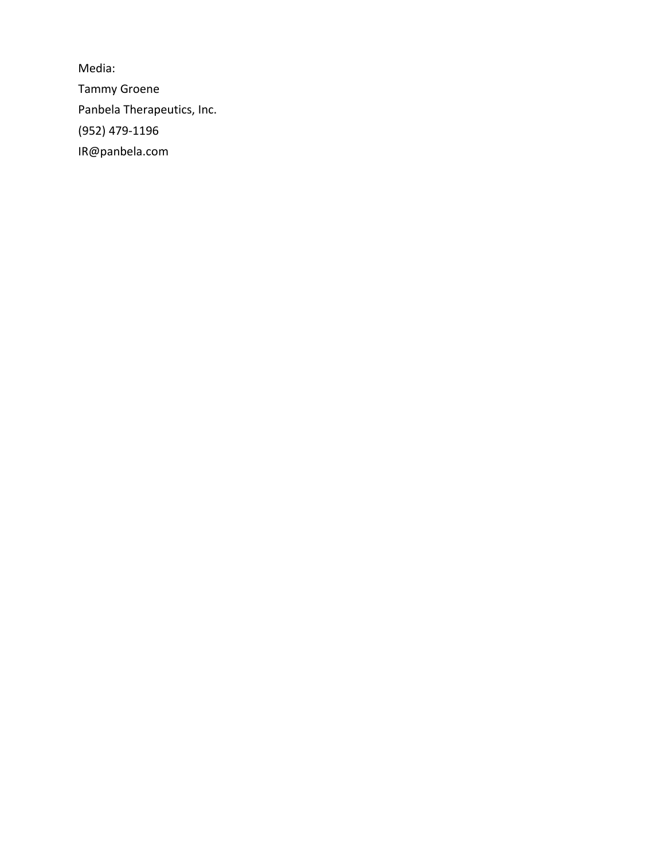Media: Tammy Groene Panbela Therapeutics, Inc. (952) 479-1196 IR@panbela.com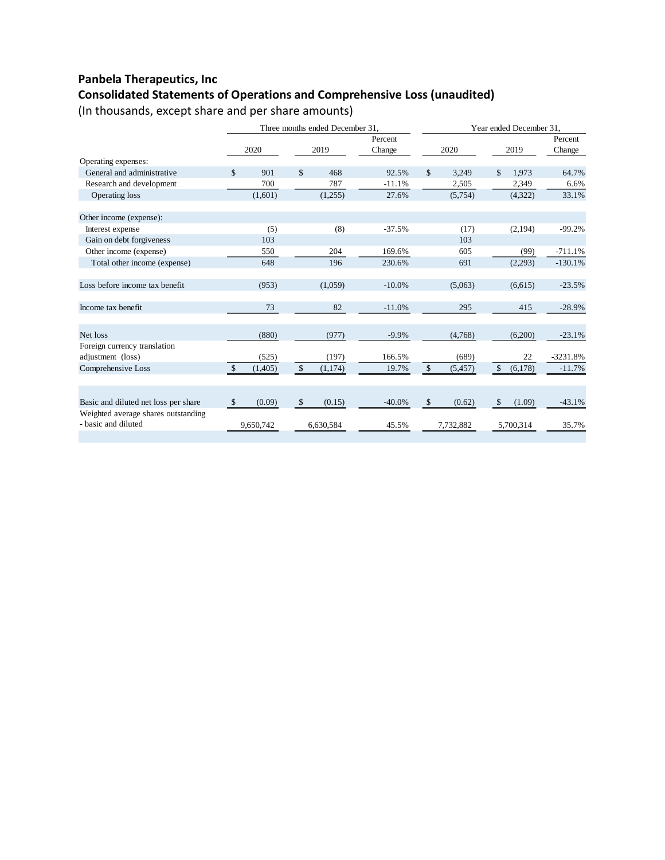## **Panbela Therapeutics, Inc Consolidated Statements of Operations and Comprehensive Loss (unaudited)**

(In thousands, except share and per share amounts)

|                                      | Three months ended December 31. |         |               |         | Year ended December 31. |               |          |              |           |            |
|--------------------------------------|---------------------------------|---------|---------------|---------|-------------------------|---------------|----------|--------------|-----------|------------|
|                                      |                                 |         |               |         | Percent                 |               |          |              |           | Percent    |
|                                      | 2020                            |         | 2019          |         | Change                  | 2020          |          | 2019         |           | Change     |
| Operating expenses:                  |                                 |         |               |         |                         |               |          |              |           |            |
| General and administrative           | \$                              | 901     | \$            | 468     | 92.5%                   | $\mathcal{S}$ | 3,249    | \$           | 1,973     | 64.7%      |
| Research and development             |                                 | 700     |               | 787     | $-11.1%$                |               | 2,505    |              | 2,349     | 6.6%       |
| Operating loss                       |                                 | (1,601) |               | (1,255) | 27.6%                   |               | (5,754)  |              | (4,322)   | 33.1%      |
| Other income (expense):              |                                 |         |               |         |                         |               |          |              |           |            |
| Interest expense                     |                                 | (5)     |               | (8)     | $-37.5%$                |               | (17)     |              | (2,194)   | $-99.2%$   |
| Gain on debt forgiveness             |                                 | 103     |               |         |                         |               | 103      |              |           |            |
| Other income (expense)               |                                 | 550     |               | 204     | 169.6%                  |               | 605      |              | (99)      | $-711.1%$  |
| Total other income (expense)         |                                 | 648     |               | 196     | 230.6%                  |               | 691      |              | (2,293)   | $-130.1%$  |
|                                      |                                 |         |               |         |                         |               |          |              |           |            |
| Loss before income tax benefit       |                                 | (953)   |               | (1,059) | $-10.0%$                |               | (5,063)  |              | (6,615)   | $-23.5%$   |
| Income tax benefit                   |                                 | 73      |               | 82      | $-11.0%$                |               | 295      |              | 415       | $-28.9%$   |
|                                      |                                 |         |               |         |                         |               |          |              |           |            |
| Net loss                             |                                 | (880)   |               | (977)   | $-9.9\%$                |               | (4,768)  |              | (6,200)   | $-23.1%$   |
| Foreign currency translation         |                                 |         |               |         |                         |               |          |              |           |            |
| adjustment (loss)                    |                                 | (525)   |               | (197)   | 166.5%                  |               | (689)    |              | 22        | $-3231.8%$ |
| Comprehensive Loss                   | $\mathbb{S}$                    | (1,405) | $\mathcal{S}$ | (1,174) | 19.7%                   | $\mathcal{S}$ | (5, 457) | $\mathbb{S}$ | (6,178)   | $-11.7%$   |
|                                      |                                 |         |               |         |                         |               |          |              |           |            |
| Basic and diluted net loss per share | $\mathbb{S}$                    | (0.09)  | \$            | (0.15)  | $-40.0%$                | \$            | (0.62)   | \$.          | (1.09)    | $-43.1%$   |
| Weighted average shares outstanding  |                                 |         |               |         |                         |               |          |              |           |            |
| - basic and diluted                  | 9,650,742                       |         | 6.630.584     |         | 45.5%                   | 7.732.882     |          |              | 5,700,314 | 35.7%      |
|                                      |                                 |         |               |         |                         |               |          |              |           |            |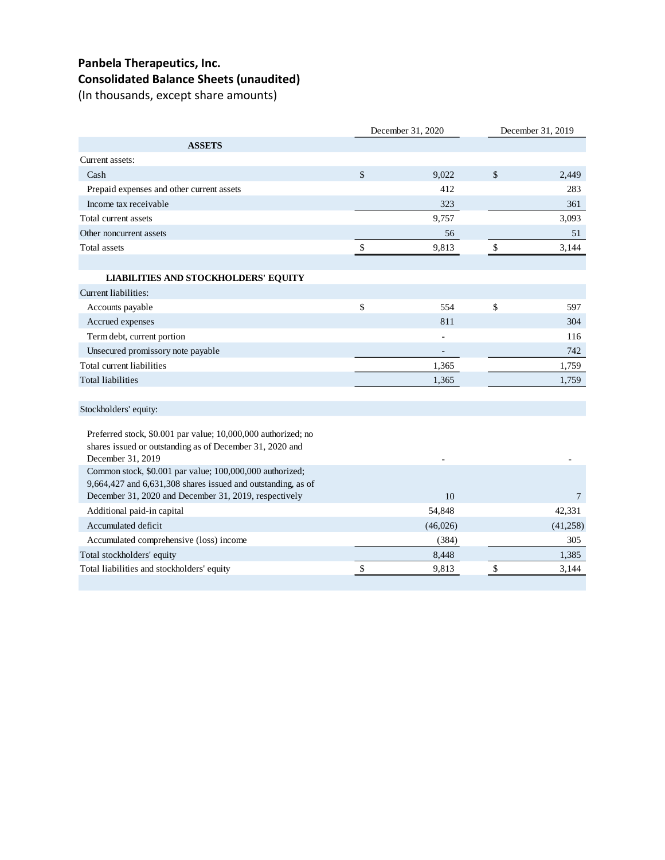# **Panbela Therapeutics, Inc. Consolidated Balance Sheets (unaudited)**

(In thousands, except share amounts)

|                                                                                                                                                | December 31, 2020 |          | December 31, 2019 |                 |
|------------------------------------------------------------------------------------------------------------------------------------------------|-------------------|----------|-------------------|-----------------|
| <b>ASSETS</b>                                                                                                                                  |                   |          |                   |                 |
| Current assets:                                                                                                                                |                   |          |                   |                 |
| Cash                                                                                                                                           | $\mathcal{S}$     | 9.022    | $\mathsf{\$}$     | 2,449           |
| Prepaid expenses and other current assets                                                                                                      |                   | 412      |                   | 283             |
| Income tax receivable                                                                                                                          |                   | 323      |                   | 361             |
| Total current assets                                                                                                                           |                   | 9,757    |                   | 3,093           |
| Other noncurrent assets                                                                                                                        |                   | 56       |                   | 51              |
| Total assets                                                                                                                                   | $\mathbb{S}$      | 9,813    | $\mathbb{S}$      | 3,144           |
|                                                                                                                                                |                   |          |                   |                 |
| <b>LIABILITIES AND STOCKHOLDERS' EQUITY</b>                                                                                                    |                   |          |                   |                 |
| Current liabilities:                                                                                                                           |                   |          |                   |                 |
| Accounts payable                                                                                                                               | \$                | 554      | \$                | 597             |
| Accrued expenses                                                                                                                               |                   | 811      |                   | 304             |
| Term debt, current portion                                                                                                                     |                   |          |                   | 116             |
| Unsecured promissory note payable                                                                                                              |                   |          |                   | 742             |
| Total current liabilities                                                                                                                      |                   | 1,365    |                   | 1,759           |
| <b>Total liabilities</b>                                                                                                                       |                   | 1,365    |                   | 1,759           |
|                                                                                                                                                |                   |          |                   |                 |
| Stockholders' equity:                                                                                                                          |                   |          |                   |                 |
| Preferred stock, \$0.001 par value; 10,000,000 authorized; no<br>shares issued or outstanding as of December 31, 2020 and<br>December 31, 2019 |                   |          |                   |                 |
| Common stock, \$0.001 par value; 100,000,000 authorized;<br>9,664,427 and 6,631,308 shares issued and outstanding, as of                       |                   |          |                   |                 |
| December 31, 2020 and December 31, 2019, respectively                                                                                          |                   | 10       |                   | $7\phantom{.0}$ |
| Additional paid-in capital                                                                                                                     |                   | 54,848   |                   | 42,331          |
| Accumulated deficit                                                                                                                            |                   | (46,026) |                   | (41,258)        |
| Accumulated comprehensive (loss) income                                                                                                        |                   | (384)    |                   | 305             |
| Total stockholders' equity                                                                                                                     |                   | 8,448    |                   | 1,385           |
| Total liabilities and stockholders' equity                                                                                                     | \$                | 9,813    | \$                | 3,144           |